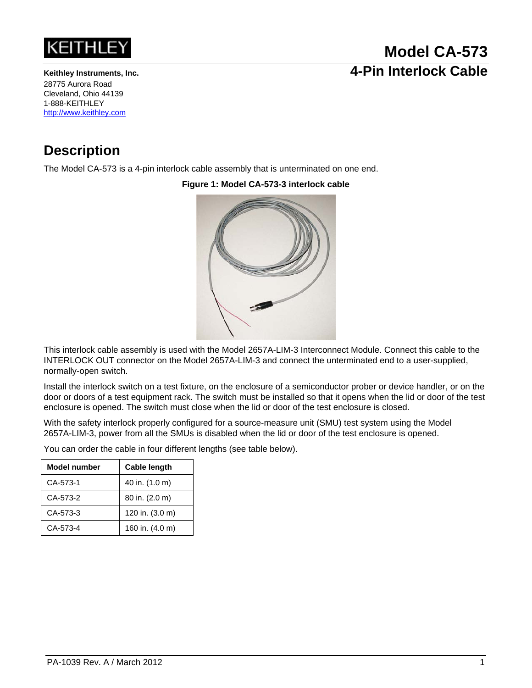

28775 Aurora Road Cleveland, Ohio 44139 1-888-KEITHLEY [http://www.keithley.com](http://www.keithley.com/)

## **Description**

The Model CA-573 is a 4-pin interlock cable assembly that is unterminated on one end.

**Figure 1: Model CA-573-3 interlock cable**



This interlock cable assembly is used with the Model 2657A-LIM-3 Interconnect Module. Connect this cable to the INTERLOCK OUT connector on the Model 2657A-LIM-3 and connect the unterminated end to a user-supplied, normally-open switch.

Install the interlock switch on a test fixture, on the enclosure of a semiconductor prober or device handler, or on the door or doors of a test equipment rack. The switch must be installed so that it opens when the lid or door of the test enclosure is opened. The switch must close when the lid or door of the test enclosure is closed.

With the safety interlock properly configured for a source-measure unit (SMU) test system using the Model 2657A-LIM-3, power from all the SMUs is disabled when the lid or door of the test enclosure is opened.

You can order the cable in four different lengths (see table below).

| Model number | <b>Cable length</b> |
|--------------|---------------------|
| CA-573-1     | 40 in. (1.0 m)      |
| CA-573-2     | 80 in. (2.0 m)      |
| CA-573-3     | 120 in. (3.0 m)     |
| CA-573-4     | 160 in. (4.0 m)     |